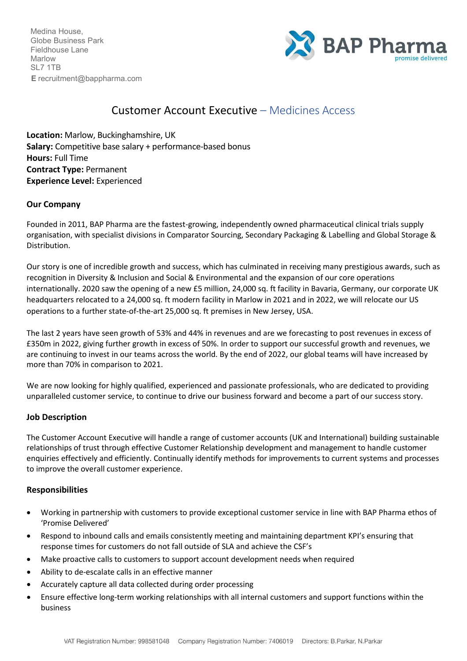Medina House, Globe Business Park Fieldhouse Lane Marlow SL7 1TB **E** [recruitment@bappharma.com](mailto:recruitment@bappharma.com)



# Customer Account Executive – Medicines Access

**Location:** Marlow, Buckinghamshire, UK **Salary:** Competitive base salary + performance-based bonus **Hours:** Full Time **Contract Type:** Permanent **Experience Level:** Experienced

# **Our Company**

Founded in 2011, BAP Pharma are the fastest-growing, independently owned pharmaceutical clinical trials supply organisation, with specialist divisions in Comparator Sourcing, Secondary Packaging & Labelling and Global Storage & Distribution.

Our story is one of incredible growth and success, which has culminated in receiving many prestigious awards, such as recognition in Diversity & Inclusion and Social & Environmental and the expansion of our core operations internationally. 2020 saw the opening of a new £5 million, 24,000 sq. ft facility in Bavaria, Germany, our corporate UK headquarters relocated to a 24,000 sq. ft modern facility in Marlow in 2021 and in 2022, we will relocate our US operations to a further state-of-the-art 25,000 sq. ft premises in New Jersey, USA.

The last 2 years have seen growth of 53% and 44% in revenues and are we forecasting to post revenues in excess of £350m in 2022, giving further growth in excess of 50%. In order to support our successful growth and revenues, we are continuing to invest in our teams across the world. By the end of 2022, our global teams will have increased by more than 70% in comparison to 2021.

We are now looking for highly qualified, experienced and passionate professionals, who are dedicated to providing unparalleled customer service, to continue to drive our business forward and become a part of our success story.

#### **Job Description**

The Customer Account Executive will handle a range of customer accounts (UK and International) building sustainable relationships of trust through effective Customer Relationship development and management to handle customer enquiries effectively and efficiently. Continually identify methods for improvements to current systems and processes to improve the overall customer experience.

#### **Responsibilities**

- Working in partnership with customers to provide exceptional customer service in line with BAP Pharma ethos of 'Promise Delivered'
- Respond to inbound calls and emails consistently meeting and maintaining department KPI's ensuring that response times for customers do not fall outside of SLA and achieve the CSF's
- Make proactive calls to customers to support account development needs when required
- Ability to de-escalate calls in an effective manner
- Accurately capture all data collected during order processing
- Ensure effective long-term working relationships with all internal customers and support functions within the business